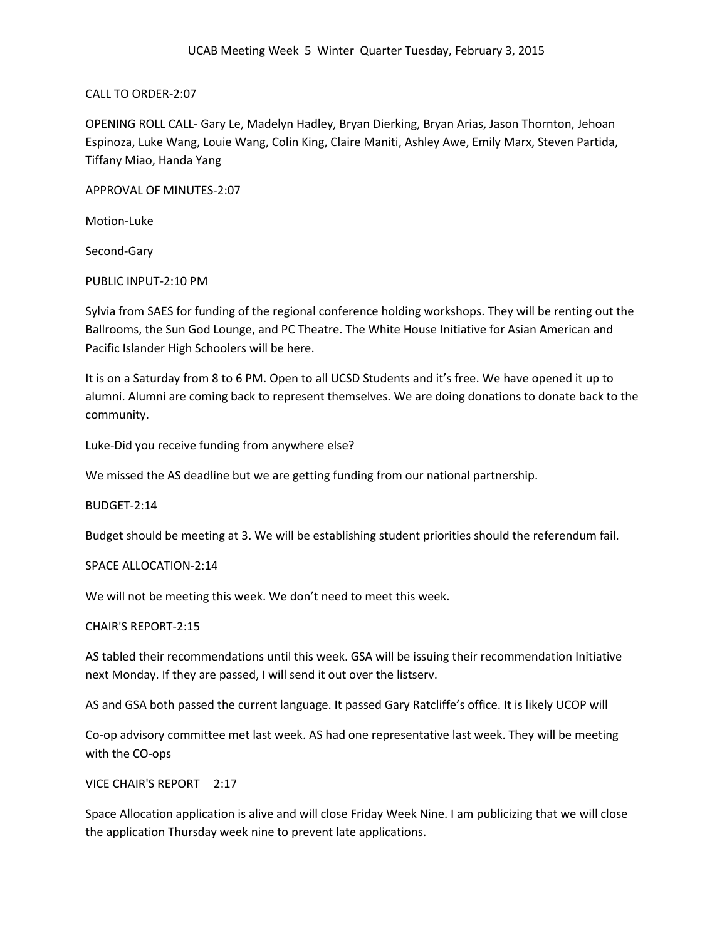CALL TO ORDER-2:07

OPENING ROLL CALL- Gary Le, Madelyn Hadley, Bryan Dierking, Bryan Arias, Jason Thornton, Jehoan Espinoza, Luke Wang, Louie Wang, Colin King, Claire Maniti, Ashley Awe, Emily Marx, Steven Partida, Tiffany Miao, Handa Yang

APPROVAL OF MINUTES-2:07

Motion-Luke

Second-Gary

PUBLIC INPUT-2:10 PM

Sylvia from SAES for funding of the regional conference holding workshops. They will be renting out the Ballrooms, the Sun God Lounge, and PC Theatre. The White House Initiative for Asian American and Pacific Islander High Schoolers will be here.

It is on a Saturday from 8 to 6 PM. Open to all UCSD Students and it's free. We have opened it up to alumni. Alumni are coming back to represent themselves. We are doing donations to donate back to the community.

Luke-Did you receive funding from anywhere else?

We missed the AS deadline but we are getting funding from our national partnership.

BUDGET-2:14

Budget should be meeting at 3. We will be establishing student priorities should the referendum fail.

## SPACE ALLOCATION-2:14

We will not be meeting this week. We don't need to meet this week.

## CHAIR'S REPORT-2:15

AS tabled their recommendations until this week. GSA will be issuing their recommendation Initiative next Monday. If they are passed, I will send it out over the listserv.

AS and GSA both passed the current language. It passed Gary Ratcliffe's office. It is likely UCOP will

Co-op advisory committee met last week. AS had one representative last week. They will be meeting with the CO-ops

VICE CHAIR'S REPORT 2:17

Space Allocation application is alive and will close Friday Week Nine. I am publicizing that we will close the application Thursday week nine to prevent late applications.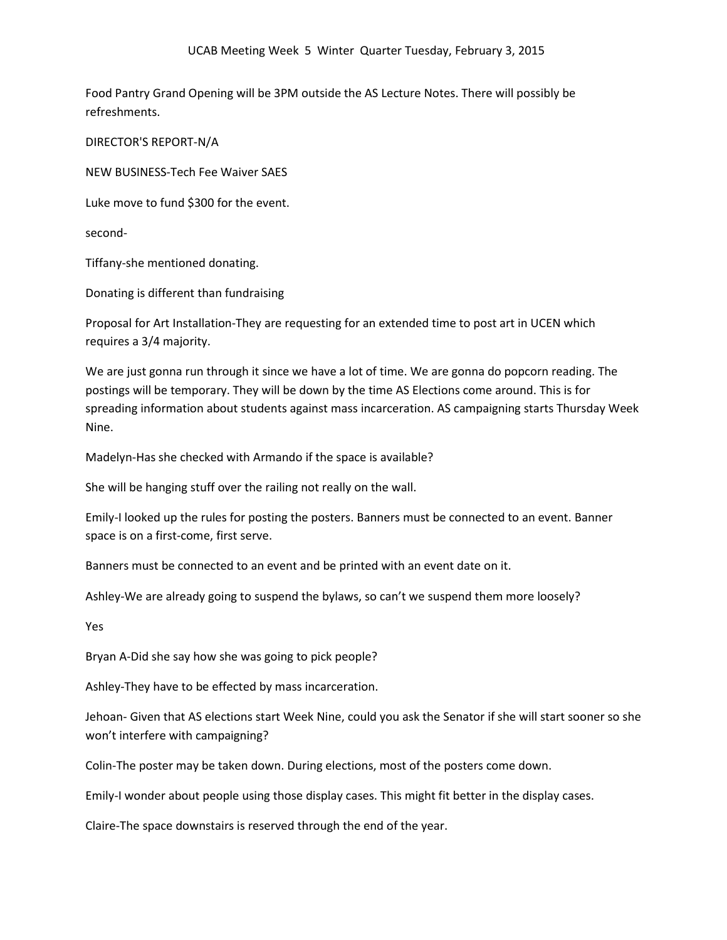Food Pantry Grand Opening will be 3PM outside the AS Lecture Notes. There will possibly be refreshments.

DIRECTOR'S REPORT-N/A

NEW BUSINESS-Tech Fee Waiver SAES

Luke move to fund \$300 for the event.

second-

Tiffany-she mentioned donating.

Donating is different than fundraising

Proposal for Art Installation-They are requesting for an extended time to post art in UCEN which requires a 3/4 majority.

We are just gonna run through it since we have a lot of time. We are gonna do popcorn reading. The postings will be temporary. They will be down by the time AS Elections come around. This is for spreading information about students against mass incarceration. AS campaigning starts Thursday Week Nine.

Madelyn-Has she checked with Armando if the space is available?

She will be hanging stuff over the railing not really on the wall.

Emily-I looked up the rules for posting the posters. Banners must be connected to an event. Banner space is on a first-come, first serve.

Banners must be connected to an event and be printed with an event date on it.

Ashley-We are already going to suspend the bylaws, so can't we suspend them more loosely?

Yes

Bryan A-Did she say how she was going to pick people?

Ashley-They have to be effected by mass incarceration.

Jehoan- Given that AS elections start Week Nine, could you ask the Senator if she will start sooner so she won't interfere with campaigning?

Colin-The poster may be taken down. During elections, most of the posters come down.

Emily-I wonder about people using those display cases. This might fit better in the display cases.

Claire-The space downstairs is reserved through the end of the year.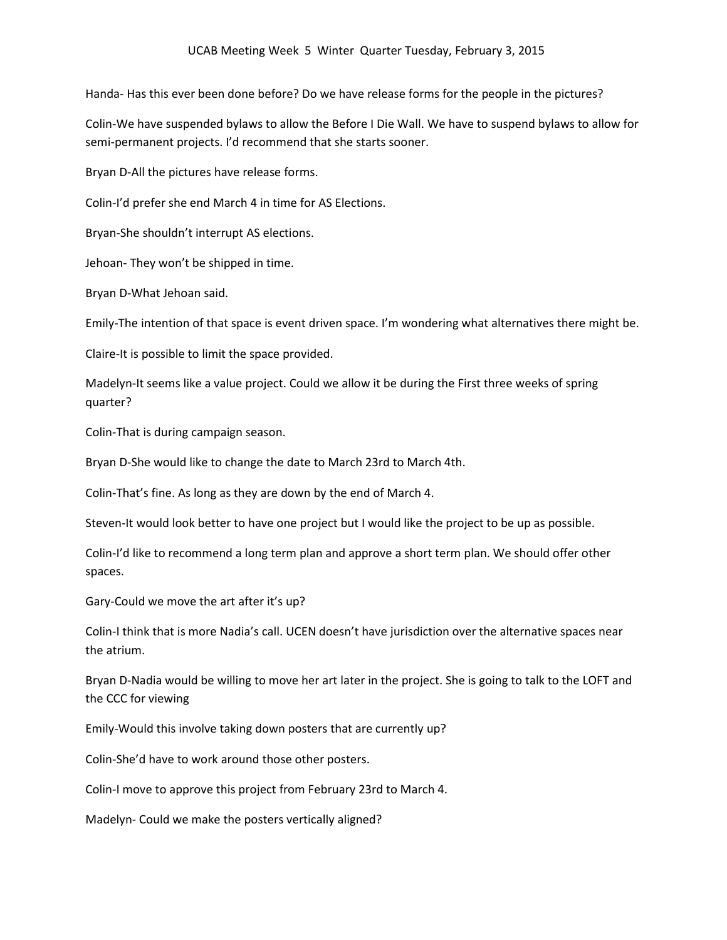Handa- Has this ever been done before? Do we have release forms for the people in the pictures?

Colin-We have suspended bylaws to allow the Before I Die Wall. We have to suspend bylaws to allow for semi-permanent projects. I'd recommend that she starts sooner.

Bryan D-All the pictures have release forms.

Colin-I'd prefer she end March 4 in time for AS Elections.

Bryan-She shouldn't interrupt AS elections.

Jehoan- They won't be shipped in time.

Bryan D-What Jehoan said.

Emily-The intention of that space is event driven space. I'm wondering what alternatives there might be.

Claire-It is possible to limit the space provided.

Madelyn-It seems like a value project. Could we allow it be during the First three weeks of spring quarter?

Colin-That is during campaign season.

Bryan D-She would like to change the date to March 23rd to March 4th.

Colin-That's fine. As long as they are down by the end of March 4.

Steven-It would look better to have one project but I would like the project to be up as possible.

Colin-I'd like to recommend a long term plan and approve a short term plan. We should offer other spaces.

Gary-Could we move the art after it's up?

Colin-I think that is more Nadia's call. UCEN doesn't have jurisdiction over the alternative spaces near the atrium.

Bryan D-Nadia would be willing to move her art later in the project. She is going to talk to the LOFT and the CCC for viewing

Emily-Would this involve taking down posters that are currently up?

Colin-She'd have to work around those other posters.

Colin-I move to approve this project from February 23rd to March 4.

Madelyn- Could we make the posters vertically aligned?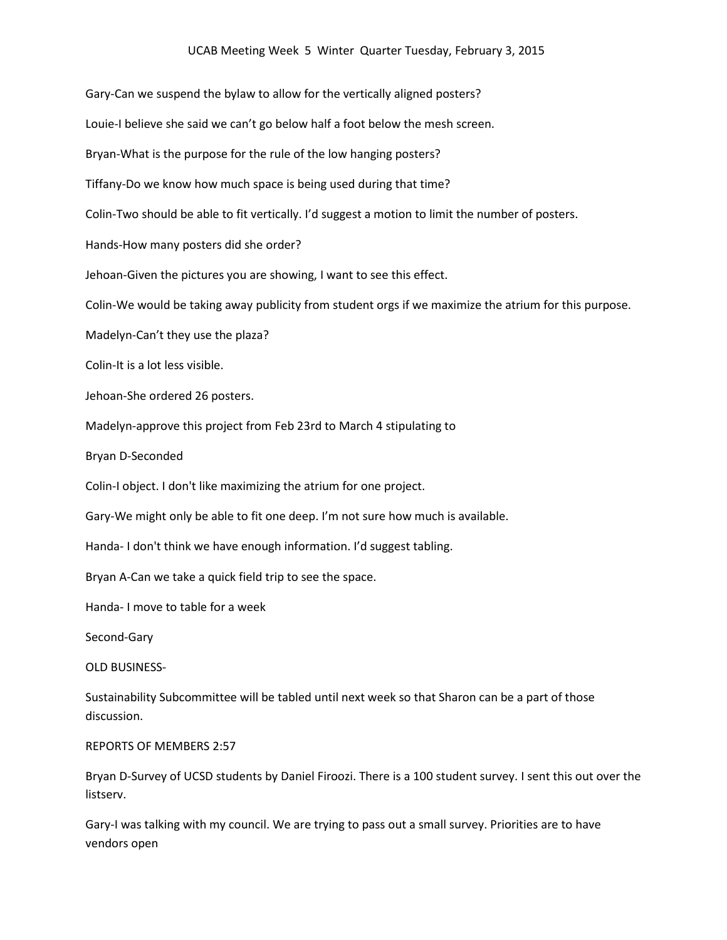Gary-Can we suspend the bylaw to allow for the vertically aligned posters? Louie-I believe she said we can't go below half a foot below the mesh screen. Bryan-What is the purpose for the rule of the low hanging posters? Tiffany-Do we know how much space is being used during that time? Colin-Two should be able to fit vertically. I'd suggest a motion to limit the number of posters. Hands-How many posters did she order? Jehoan-Given the pictures you are showing, I want to see this effect. Colin-We would be taking away publicity from student orgs if we maximize the atrium for this purpose. Madelyn-Can't they use the plaza? Colin-It is a lot less visible. Jehoan-She ordered 26 posters. Madelyn-approve this project from Feb 23rd to March 4 stipulating to Bryan D-Seconded Colin-I object. I don't like maximizing the atrium for one project. Gary-We might only be able to fit one deep. I'm not sure how much is available. Handa- I don't think we have enough information. I'd suggest tabling. Bryan A-Can we take a quick field trip to see the space. Handa- I move to table for a week Second-Gary OLD BUSINESS-Sustainability Subcommittee will be tabled until next week so that Sharon can be a part of those discussion. REPORTS OF MEMBERS 2:57 Bryan D-Survey of UCSD students by Daniel Firoozi. There is a 100 student survey. I sent this out over the listserv.

Gary-I was talking with my council. We are trying to pass out a small survey. Priorities are to have vendors open